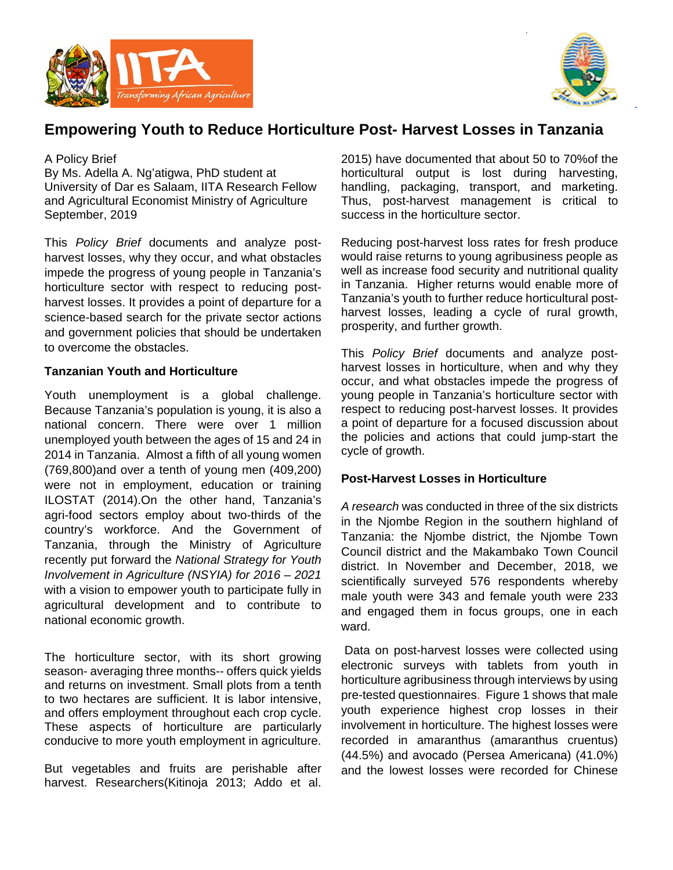



# **Empowering Youth to Reduce Horticulture Post- Harvest Losses in Tanzania**

### A Policy Brief

By Ms. Adella A. Ng'atigwa, PhD student at University of Dar es Salaam, IITA Research Fellow and Agricultural Economist Ministry of Agriculture September, 2019

This *Policy Brief* documents and analyze postharvest losses, why they occur, and what obstacles impede the progress of young people in Tanzania's horticulture sector with respect to reducing postharvest losses. It provides a point of departure for a science-based search for the private sector actions and government policies that should be undertaken to overcome the obstacles.

# **Tanzanian Youth and Horticulture**

Youth unemployment is a global challenge. Because Tanzania's population is young, it is also a national concern. There were over 1 million unemployed youth between the ages of 15 and 24 in 2014 in Tanzania. Almost a fifth of all young women (769,800)and over a tenth of young men (409,200) were not in employment, education or training [ILOSTAT \(2014\).](#page-3-0)On the other hand, Tanzania's agri-food sectors employ about two-thirds of the country's workforce. And the Government of Tanzania, through the Ministry of Agriculture recently put forward the *National Strategy for Youth Involvement in Agriculture (NSYIA) for 2016 – 2021*  with a vision to empower youth to participate fully in agricultural development and to contribute to national economic growth.

The horticulture sector, with its short growing season- averaging three months-- offers quick yields and returns on investment. Small plots from a tenth to two hectares are sufficient. It is labor intensive, and offers employment throughout each crop cycle. These aspects of horticulture are particularly conducive to more youth employment in agriculture.

But vegetables and fruits are perishable after harvest. Researchers[\(Kitinoja 2013;](#page-3-1) [Addo et al.](#page-3-2)  [2015\)](#page-3-2) have documented that about 50 to 70%of the horticultural output is lost during harvesting, handling, packaging, transport, and marketing. Thus, post-harvest management is critical to success in the horticulture sector.

Reducing post-harvest loss rates for fresh produce would raise returns to young agribusiness people as well as increase food security and nutritional quality in Tanzania. Higher returns would enable more of Tanzania's youth to further reduce horticultural postharvest losses, leading a cycle of rural growth, prosperity, and further growth.

This *Policy Brief* documents and analyze postharvest losses in horticulture, when and why they occur, and what obstacles impede the progress of young people in Tanzania's horticulture sector with respect to reducing post-harvest losses. It provides a point of departure for a focused discussion about the policies and actions that could jump-start the cycle of growth.

# **Post-Harvest Losses in Horticulture**

*A research* was conducted in three of the six districts in the Njombe Region in the southern highland of Tanzania: the Njombe district, the Njombe Town Council district and the Makambako Town Council district. In November and December, 2018, we scientifically surveyed 576 respondents whereby male youth were 343 and female youth were 233 and engaged them in focus groups, one in each ward.

Data on post-harvest losses were collected using electronic surveys with tablets from youth in horticulture agribusiness through interviews by using pre-tested questionnaires. Figure 1 shows that male youth experience highest crop losses in their involvement in horticulture. The highest losses were recorded in amaranthus (amaranthus cruentus) (44.5%) and avocado (Persea Americana) (41.0%) and the lowest losses were recorded for Chinese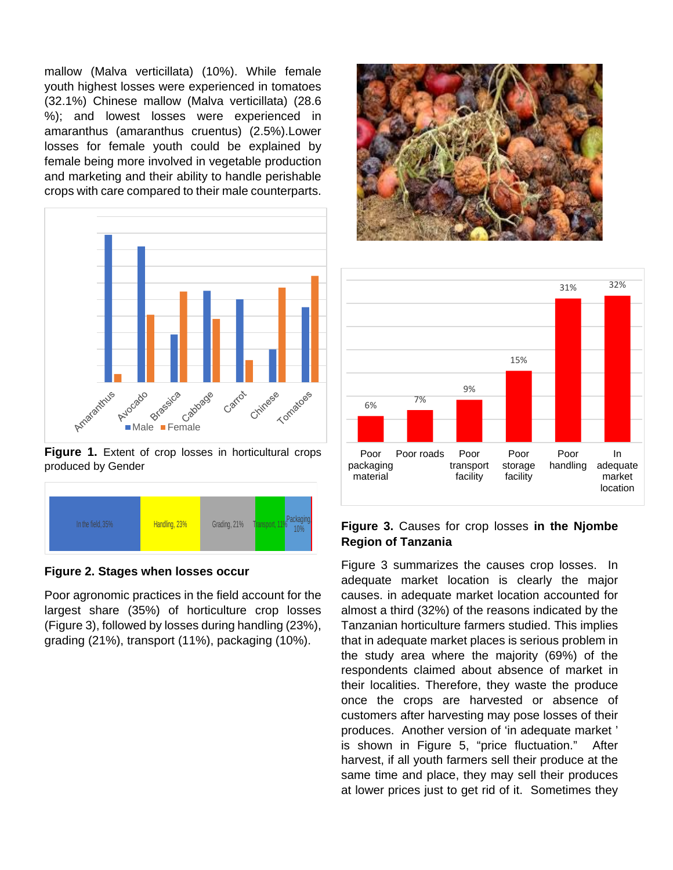mallow (Malva verticillata) (10%). While female youth highest losses were experienced in tomatoes (32.1%) Chinese mallow (Malva verticillata) (28.6 %); and lowest losses were experienced in amaranthus (amaranthus cruentus) (2.5%).Lower losses for female youth could be explained by female being more involved in vegetable production and marketing and their ability to handle perishable crops with care compared to their male counterparts.



**Figure 1.** Extent of crop losses in horticultural crops produced by Gender



**Figure 2. Stages when losses occur**

Poor agronomic practices in the field account for the largest share (35%) of horticulture crop losses (Figure 3), followed by losses during handling (23%), grading (21%), transport (11%), packaging (10%).





#### **Figure 3.** Causes for crop losses **in the Njombe Region of Tanzania**

Figure 3 summarizes the causes crop losses. In adequate market location is clearly the major causes. in adequate market location accounted for almost a third (32%) of the reasons indicated by the Tanzanian horticulture farmers studied. This implies that in adequate market places is serious problem in the study area where the majority (69%) of the respondents claimed about absence of market in their localities. Therefore, they waste the produce once the crops are harvested or absence of customers after harvesting may pose losses of their produces. Another version of 'in adequate market ' is shown in Figure 5, "price fluctuation." After harvest, if all youth farmers sell their produce at the same time and place, they may sell their produces at lower prices just to get rid of it. Sometimes they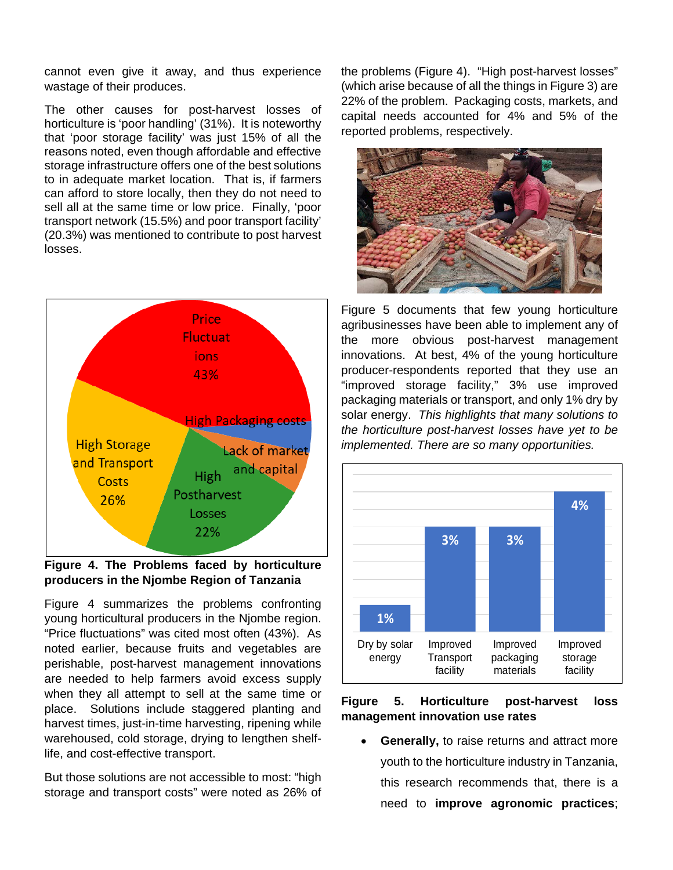cannot even give it away, and thus experience wastage of their produces.

The other causes for post-harvest losses of horticulture is 'poor handling' (31%). It is noteworthy that 'poor storage facility' was just 15% of all the reasons noted, even though affordable and effective storage infrastructure offers one of the best solutions to in adequate market location. That is, if farmers can afford to store locally, then they do not need to sell all at the same time or low price. Finally, 'poor transport network (15.5%) and poor transport facility' (20.3%) was mentioned to contribute to post harvest losses.



**Figure 4. The Problems faced by horticulture producers in the Njombe Region of Tanzania**

Figure 4 summarizes the problems confronting young horticultural producers in the Njombe region. "Price fluctuations" was cited most often (43%). As noted earlier, because fruits and vegetables are perishable, post-harvest management innovations are needed to help farmers avoid excess supply when they all attempt to sell at the same time or place. Solutions include staggered planting and harvest times, just-in-time harvesting, ripening while warehoused, cold storage, drying to lengthen shelflife, and cost-effective transport.

But those solutions are not accessible to most: "high storage and transport costs" were noted as 26% of the problems (Figure 4). "High post-harvest losses" (which arise because of all the things in Figure 3) are 22% of the problem. Packaging costs, markets, and capital needs accounted for 4% and 5% of the reported problems, respectively.



Figure 5 documents that few young horticulture agribusinesses have been able to implement any of the more obvious post-harvest management innovations. At best, 4% of the young horticulture producer-respondents reported that they use an "improved storage facility," 3% use improved packaging materials or transport, and only 1% dry by solar energy. *This highlights that many solutions to the horticulture post-harvest losses have yet to be implemented. There are so many opportunities.*



**Figure 5. Horticulture post-harvest loss management innovation use rates**

**Generally, to raise returns and attract more** youth to the horticulture industry in Tanzania, this research recommends that, there is a need to **improve agronomic practices**;